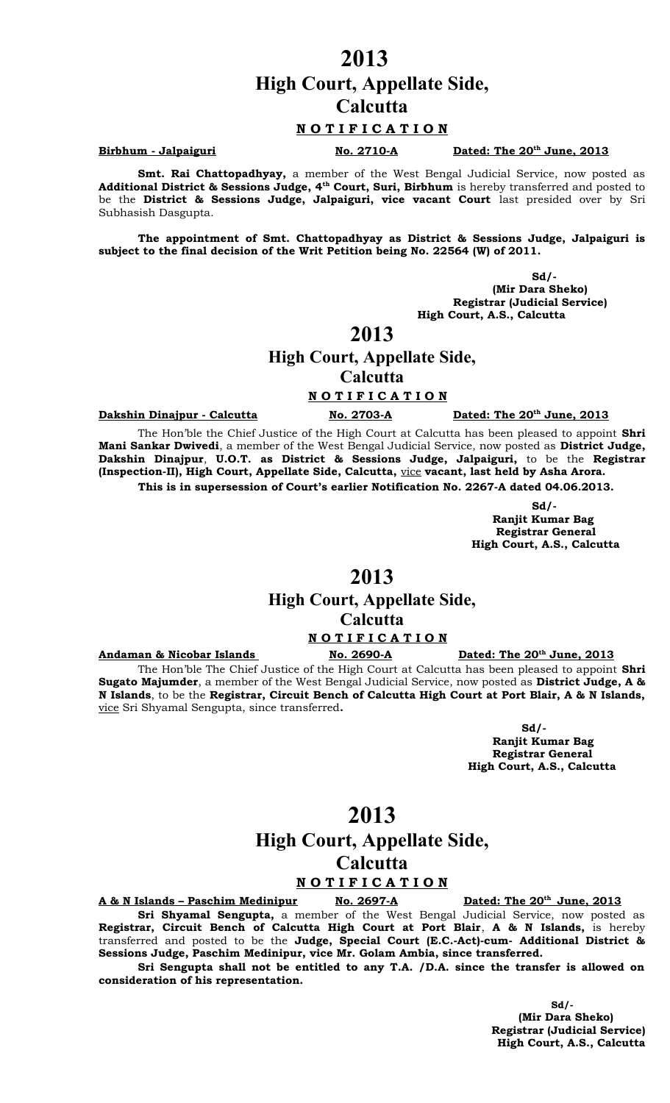# **High Court, Appellate Side,**

**Calcutta**

#### **N O T I F I C A T I O N**

#### **Birbhum - Jalpaiguri No. 2710-A**

Dated: The 20<sup>th</sup> June, 2013

**Smt. Rai Chattopadhyay,** a member of the West Bengal Judicial Service, now posted as **Additional District & Sessions Judge, 4th Court, Suri, Birbhum** is hereby transferred and posted to be the **District & Sessions Judge, Jalpaiguri, vice vacant Court** last presided over by Sri Subhasish Dasgupta.

**The appointment of Smt. Chattopadhyay as District & Sessions Judge, Jalpaiguri is subject to the final decision of the Writ Petition being No. 22564 (W) of 2011.**

 **Sd/- (Mir Dara Sheko) Registrar (Judicial Service) High Court, A.S., Calcutta**

## **2013**

#### **High Court, Appellate Side,**

**Calcutta**

#### **N O T I F I C A T I O N**

**Dakshin Dinajpur - Calcutta** No. 2703-A

Dated: The 20<sup>th</sup> June, 2013

The Hon'ble the Chief Justice of the High Court at Calcutta has been pleased to appoint **Shri Mani Sankar Dwivedi**, a member of the West Bengal Judicial Service, now posted as **District Judge, Dakshin Dinajpur**, **U.O.T. as District & Sessions Judge, Jalpaiguri,** to be the **Registrar (Inspection-II), High Court, Appellate Side, Calcutta,** vice **vacant, last held by Asha Arora. This is in supersession of Court's earlier Notification No. 2267-A dated 04.06.2013.**

> **Sd/- Ranjit Kumar Bag Registrar General High Court, A.S., Calcutta**

## **2013**

## **High Court, Appellate Side, Calcutta**

**N O T I F I C A T I O N**

**Andaman & Nicobar Islands** No. 2690-A

Dated: The 20<sup>th</sup> June, 2013

The Hon'ble The Chief Justice of the High Court at Calcutta has been pleased to appoint **Shri Sugato Majumder**, a member of the West Bengal Judicial Service, now posted as **District Judge, A & N Islands**, to be the **Registrar, Circuit Bench of Calcutta High Court at Port Blair, A & N Islands,** vice Sri Shyamal Sengupta, since transferred**.**

**Sd/-** 

 **Ranjit Kumar Bag Registrar General High Court, A.S., Calcutta**

## **2013**

## **High Court, Appellate Side, Calcutta**

#### **N O T I F I C A T I O N**

**A & N Islands – Paschim Medinipur No. 2697-A** 

Dated: The 20<sup>th</sup> June, 2013

**Sri Shyamal Sengupta,** a member of the West Bengal Judicial Service, now posted as **Registrar, Circuit Bench of Calcutta High Court at Port Blair**, **A & N Islands,** is hereby transferred and posted to be the **Judge, Special Court (E.C.-Act)-cum- Additional District & Sessions Judge, Paschim Medinipur, vice Mr. Golam Ambia, since transferred.**

**Sri Sengupta shall not be entitled to any T.A. /D.A. since the transfer is allowed on consideration of his representation.**

> **Sd/- (Mir Dara Sheko) Registrar (Judicial Service) High Court, A.S., Calcutta**